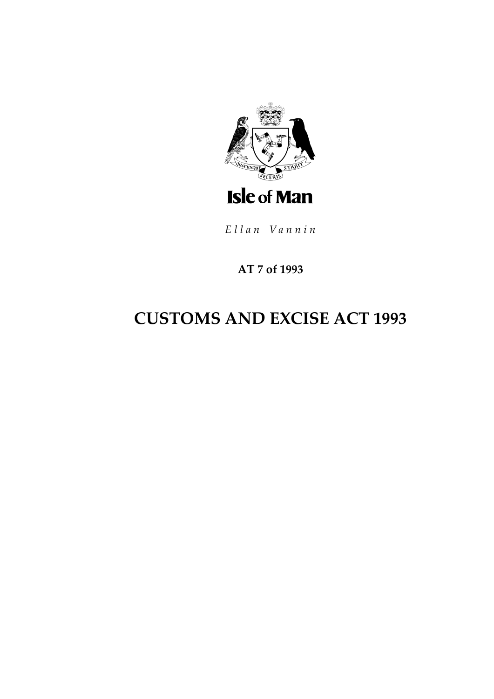

Ellan Vannin

### AT 7 of 1993

# **CUSTOMS AND EXCISE ACT 1993**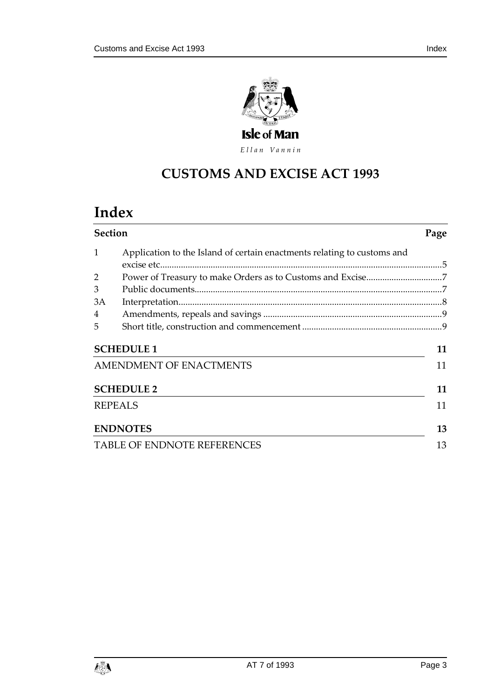

Ellan Vannin

# **CUSTOMS AND EXCISE A CT 1993**

# **Index**

| <b>Section</b>                     |                                                                         | Page |
|------------------------------------|-------------------------------------------------------------------------|------|
| 1                                  | Application to the Island of certain enactments relating to customs and |      |
|                                    |                                                                         |      |
| 2                                  |                                                                         |      |
| 3                                  |                                                                         |      |
| 3A                                 |                                                                         |      |
| 4                                  |                                                                         |      |
| 5                                  |                                                                         |      |
| <b>SCHEDULE 1</b>                  |                                                                         | 11   |
| <b>AMENDMENT OF ENACTMENTS</b>     |                                                                         | 11   |
| <b>SCHEDULE 2</b>                  |                                                                         | 11   |
| <b>REPEALS</b>                     |                                                                         | 11   |
|                                    | <b>ENDNOTES</b>                                                         | 13   |
| <b>TABLE OF ENDNOTE REFERENCES</b> |                                                                         | 13   |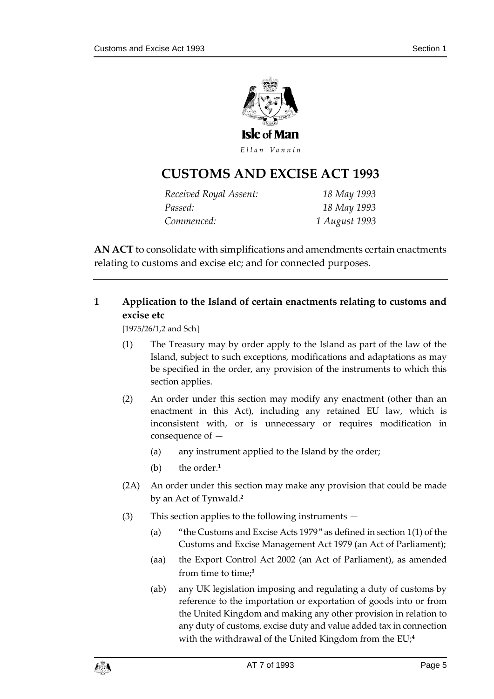

Ellan Vannin

## **CUSTOMS AND EXCISE A CT 1993**

| Received Royal Assent: | 18 May 1993   |
|------------------------|---------------|
| Passed:                | 18 May 1993   |
| Commenced:             | 1 August 1993 |

**AN ACT** to consolidate with simplifications and amendments certain enactments relating to customs and excise etc; and for connected purposes.

#### <span id="page-4-0"></span>**1 Application to the Island of certain enactments relating to customs and excise etc**

[1975/26/1,2 and Sch]

- (1) The Treasury may by order apply to the Island as part of the law of the Island, subject to such exceptions, modifications and adaptations as may be specified in the order, any provision of the instruments to which this section applies.
- (2) An order under this section may modify any enactment (other than an enactment in this Act), including any retained EU law, which is inconsistent with, or is unnecessary or requires modification in consequence of —
	- (a) any instrument applied to the Island by the order;
	- (b) the order.**<sup>1</sup>**
- (2A) An order under this section may make any provision that could be made by an Act of Tynwald.**<sup>2</sup>**
- (3) This section applies to the following instruments
	- (a) "the Customs and Excise Acts 1979" as defined in section 1(1) of the Customs and Excise Management Act 1979 (an Act of Parliament);
	- (aa) the Export Control Act 2002 (an Act of Parliament), as amended from time to time; **3**
	- (ab) any UK legislation imposing and regulating a duty of customs by reference to the importation or exportation of goods into or from the United Kingdom and making any other provision in relation to any duty of customs, excise duty and value added tax in connection with the withdrawal of the United Kingdom from the EU;**4**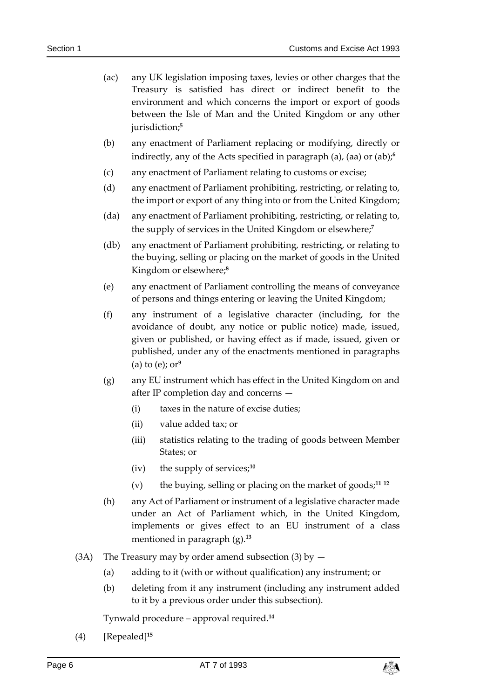- (ac) any UK legislation imposing taxes, levies or other charges that the Treasury is satisfied has direct or indirect benefit to the environment and which concerns the import or export of goods between the Isle of Man and the United Kingdom or any other jurisdiction;**<sup>5</sup>**
- (b) any enactment of Parliament replacing or modifying, directly or indirectly, any of the Acts specified in paragraph (a), (aa) or (ab); **6**
- (c) any enactment of Parliament relating to customs or excise;
- (d) any enactment of Parliament prohibiting, restricting, or relating to, the import or export of any thing into or from the United Kingdom;
- (da) any enactment of Parliament prohibiting, restricting, or relating to, the supply of services in the United Kingdom or elsewhere;**<sup>7</sup>**
- (db) any enactment of Parliament prohibiting, restricting, or relating to the buying, selling or placing on the market of goods in the United Kingdom or elsewhere;**<sup>8</sup>**
- (e) any enactment of Parliament controlling the means of conveyance of persons and things entering or leaving the United Kingdom;
- (f) any instrument of a legislative character (including, for the avoidance of doubt, any notice or public notice) made, issued, given or published, or having effect as if made, issued, given or published, under any of the enactments mentioned in paragraphs (a) to (e); or**<sup>9</sup>**
- (g) any EU instrument which has effect in the United Kingdom on and after IP completion day and concerns —
	- (i) taxes in the nature of excise duties;
	- (ii) value added tax; or
	- (iii) statistics relating to the trading of goods between Member States; or
	- (iv) the supply of services;**<sup>10</sup>**
	- (v) the buying, selling or placing on the market of goods;**<sup>11</sup> <sup>12</sup>**
- (h) any Act of Parliament or instrument of a legislative character made under an Act of Parliament which, in the United Kingdom, implements or gives effect to an EU instrument of a class mentioned in paragraph (g).**<sup>13</sup>**
- (3A) The Treasury may by order amend subsection (3) by  $-$ 
	- (a) adding to it (with or without qualification) any instrument; or
	- (b) deleting from it any instrument (including any instrument added to it by a previous order under this subsection).

Tynwald procedure – approval required.**<sup>14</sup>**

(4) [Repealed]**<sup>15</sup>**

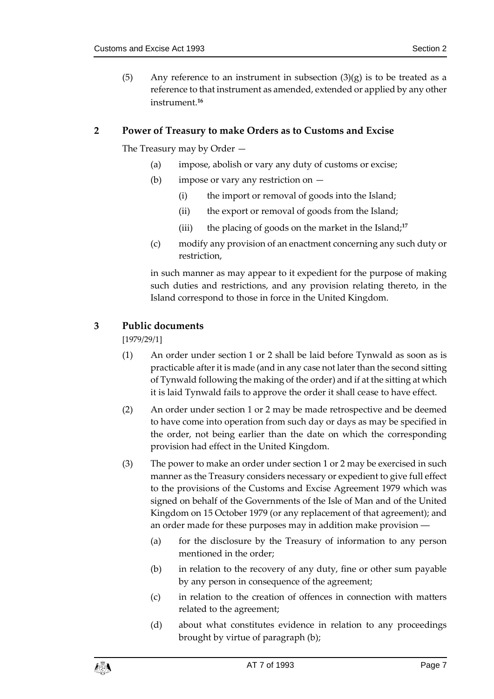(5) Any reference to an instrument in subsection  $(3)(g)$  is to be treated as a reference to that instrument as amended, extended or applied by any other instrument.**<sup>16</sup>**

#### <span id="page-6-0"></span>**2 Power of Treasury to make Orders as to Customs and Excise**

The Treasury may by Order —

- (a) impose, abolish or vary any duty of customs or excise;
- (b) impose or vary any restriction on
	- (i) the import or removal of goods into the Island;
	- (ii) the export or removal of goods from the Island;
	- (iii) the placing of goods on the market in the Island;**<sup>17</sup>**
- (c) modify any provision of an enactment concerning any such duty or restriction,

in such manner as may appear to it expedient for the purpose of making such duties and restrictions, and any provision relating thereto, in the Island correspond to those in force in the United Kingdom.

#### <span id="page-6-1"></span>**3 Public documents**

[1979/29/1]

- (1) An order under section 1 or 2 shall be laid before Tynwald as soon as is practicable after it is made (and in any case not later than the second sitting of Tynwald following the making of the order) and if at the sitting at which it is laid Tynwald fails to approve the order it shall cease to have effect.
- (2) An order under section 1 or 2 may be made retrospective and be deemed to have come into operation from such day or days as may be specified in the order, not being earlier than the date on which the corresponding provision had effect in the United Kingdom.
- (3) The power to make an order under section 1 or 2 may be exercised in such manner as the Treasury considers necessary or expedient to give full effect to the provisions of the Customs and Excise Agreement 1979 which was signed on behalf of the Governments of the Isle of Man and of the United Kingdom on 15 October 1979 (or any replacement of that agreement); and an order made for these purposes may in addition make provision ―
	- (a) for the disclosure by the Treasury of information to any person mentioned in the order;
	- (b) in relation to the recovery of any duty, fine or other sum payable by any person in consequence of the agreement;
	- (c) in relation to the creation of offences in connection with matters related to the agreement;
	- (d) about what constitutes evidence in relation to any proceedings brought by virtue of paragraph (b);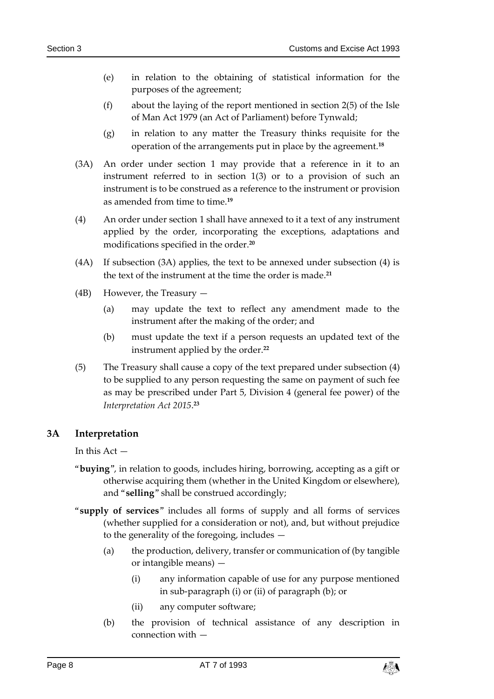- (e) in relation to the obtaining of statistical information for the purposes of the agreement;
- (f) about the laying of the report mentioned in section 2(5) of the Isle of Man Act 1979 (an Act of Parliament) before Tynwald;
- (g) in relation to any matter the Treasury thinks requisite for the operation of the arrangements put in place by the agreement.**<sup>18</sup>**
- (3A) An order under section 1 may provide that a reference in it to an instrument referred to in section 1(3) or to a provision of such an instrument is to be construed as a reference to the instrument or provision as amended from time to time.**<sup>19</sup>**
- (4) An order under section 1 shall have annexed to it a text of any instrument applied by the order, incorporating the exceptions, adaptations and modifications specified in the order.**<sup>20</sup>**
- (4A) If subsection (3A) applies, the text to be annexed under subsection (4) is the text of the instrument at the time the order is made.**<sup>21</sup>**
- (4B) However, the Treasury
	- (a) may update the text to reflect any amendment made to the instrument after the making of the order; and
	- (b) must update the text if a person requests an updated text of the instrument applied by the order.**<sup>22</sup>**
- (5) The Treasury shall cause a copy of the text prepared under subsection (4) to be supplied to any person requesting the same on payment of such fee as may be prescribed under Part 5, Division 4 (general fee power) of the *Interpretation Act 2015*. **23**

#### <span id="page-7-0"></span>**3A Interpretation**

In this  $Act -$ 

- "**buying**", in relation to goods, includes hiring, borrowing, accepting as a gift or otherwise acquiring them (whether in the United Kingdom or elsewhere), and "**selling**" shall be construed accordingly;
- "**supply of services**" includes all forms of supply and all forms of services (whether supplied for a consideration or not), and, but without prejudice to the generality of the foregoing, includes —
	- (a) the production, delivery, transfer or communication of (by tangible or intangible means) —
		- (i) any information capable of use for any purpose mentioned in sub-paragraph (i) or (ii) of paragraph (b); or
		- (ii) any computer software;
	- (b) the provision of technical assistance of any description in connection with —

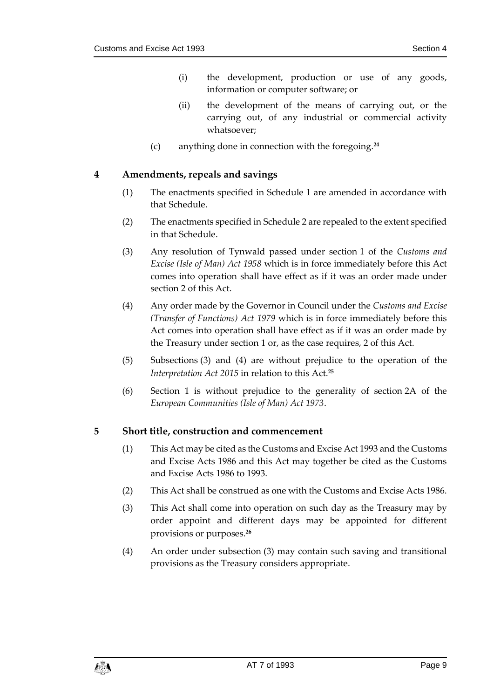- (i) the development, production or use of any goods, information or computer software; or
- (ii) the development of the means of carrying out, or the carrying out, of any industrial or commercial activity whatsoever;
- (c) anything done in connection with the foregoing.**<sup>24</sup>**

#### <span id="page-8-0"></span>**4 Amendments, repeals and savings**

- (1) The enactments specified in Schedule 1 are amended in accordance with that Schedule.
- (2) The enactments specified in Schedule 2 are repealed to the extent specified in that Schedule.
- (3) Any resolution of Tynwald passed under section 1 of the *Customs and Excise (Isle of Man) Act 1958* which is in force immediately before this Act comes into operation shall have effect as if it was an order made under section 2 of this Act.
- (4) Any order made by the Governor in Council under the *Customs and Excise (Transfer of Functions) Act 1979* which is in force immediately before this Act comes into operation shall have effect as if it was an order made by the Treasury under section 1 or, as the case requires, 2 of this Act.
- (5) Subsections (3) and (4) are without prejudice to the operation of the *Interpretation Act 2015* in relation to this Act.**<sup>25</sup>**
- (6) Section 1 is without prejudice to the generality of section 2A of the *European Communities (Isle of Man) Act 1973*.

#### <span id="page-8-1"></span>**5 Short title, construction and commencement**

- (1) This Act may be cited as the Customs and Excise Act 1993 and the Customs and Excise Acts 1986 and this Act may together be cited as the Customs and Excise Acts 1986 to 1993.
- (2) This Act shall be construed as one with the Customs and Excise Acts 1986.
- (3) This Act shall come into operation on such day as the Treasury may by order appoint and different days may be appointed for different provisions or purposes.**<sup>26</sup>**
- (4) An order under subsection (3) may contain such saving and transitional provisions as the Treasury considers appropriate.

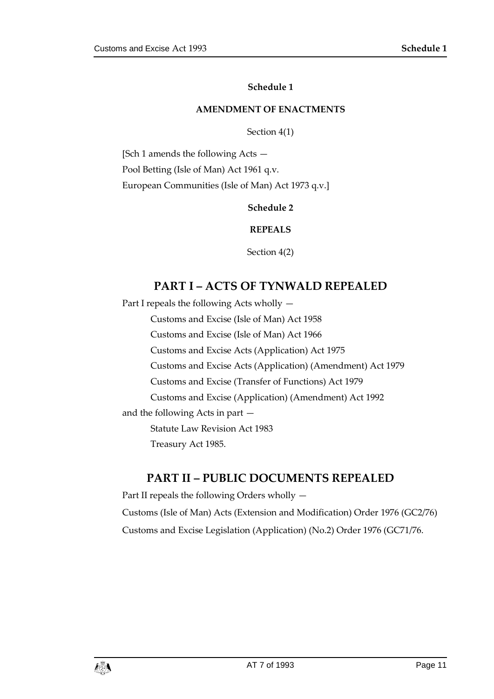**Schedule 1**

#### **AMENDMENT OF ENACTMENTS**

Section 4(1)

<span id="page-10-3"></span><span id="page-10-2"></span><span id="page-10-1"></span><span id="page-10-0"></span>[Sch 1 amends the following Acts — Pool Betting (Isle of Man) Act 1961 q.v. European Communities (Isle of Man) Act 1973 q.v.]

**Schedule 2**

**REPEALS**

Section 4(2)

#### **PART I – ACTS OF TYNWALD REPEALED**

Part I repeals the following Acts wholly —

Customs and Excise (Isle of Man) Act 1958

Customs and Excise (Isle of Man) Act 1966

Customs and Excise Acts (Application) Act 1975

Customs and Excise Acts (Application) (Amendment) Act 1979

Customs and Excise (Transfer of Functions) Act 1979

Customs and Excise (Application) (Amendment) Act 1992

and the following Acts in part —

Statute Law Revision Act 1983

Treasury Act 1985.

#### **PART II – PUBLIC DOCUMENTS REPEALED**

Part II repeals the following Orders wholly — Customs (Isle of Man) Acts (Extension and Modification) Order 1976 (GC2/76) Customs and Excise Legislation (Application) (No.2) Order 1976 (GC71/76.